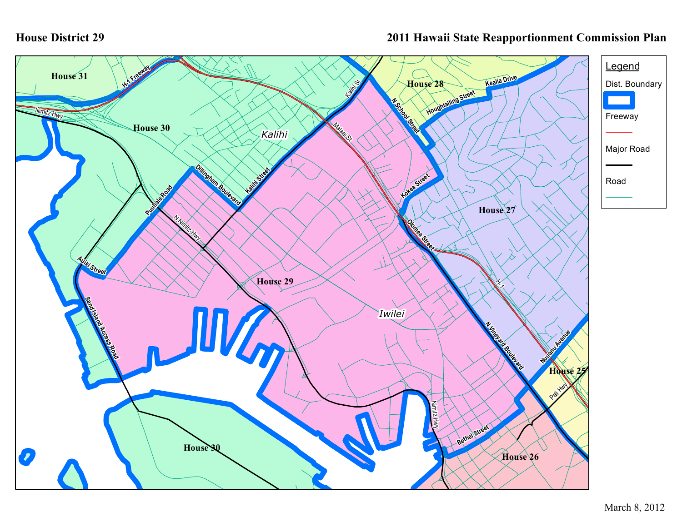## **House District 29**

## **2011 Hawaii State Reapportionment Commission Plan**